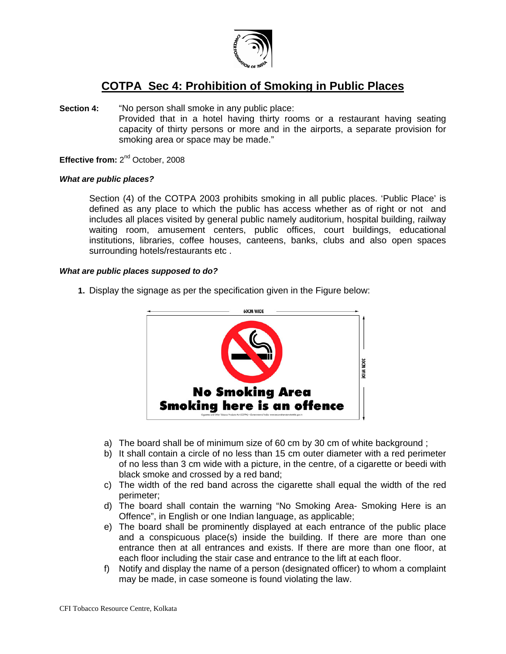

# **COTPA Sec 4: Prohibition of Smoking in Public Places**

**Section 4:** "No person shall smoke in any public place: Provided that in a hotel having thirty rooms or a restaurant having seating capacity of thirty persons or more and in the airports, a separate provision for smoking area or space may be made."

**Effective from: 2<sup>nd</sup> October, 2008** 

### *What are public places?*

Section (4) of the COTPA 2003 prohibits smoking in all public places. 'Public Place' is defined as any place to which the public has access whether as of right or not and includes all places visited by general public namely auditorium, hospital building, railway waiting room, amusement centers, public offices, court buildings, educational institutions, libraries, coffee houses, canteens, banks, clubs and also open spaces surrounding hotels/restaurants etc .

### *What are public places supposed to do?*

**1.** Display the signage as per the specification given in the Figure below:



- a) The board shall be of minimum size of 60 cm by 30 cm of white background ;
- b) It shall contain a circle of no less than 15 cm outer diameter with a red perimeter of no less than 3 cm wide with a picture, in the centre, of a cigarette or beedi with black smoke and crossed by a red band;
- c) The width of the red band across the cigarette shall equal the width of the red perimeter;
- d) The board shall contain the warning "No Smoking Area- Smoking Here is an Offence", in English or one Indian language, as applicable;
- e) The board shall be prominently displayed at each entrance of the public place and a conspicuous place(s) inside the building. If there are more than one entrance then at all entrances and exists. If there are more than one floor, at each floor including the stair case and entrance to the lift at each floor.
- f) Notify and display the name of a person (designated officer) to whom a complaint may be made, in case someone is found violating the law.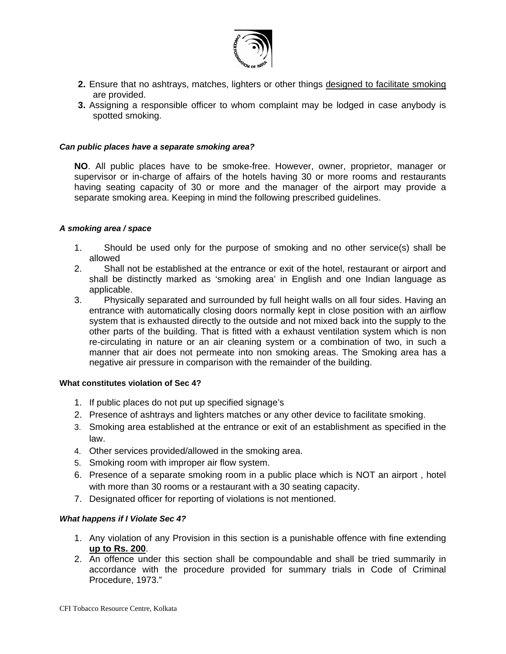

- **2.** Ensure that no ashtrays, matches, lighters or other things designed to facilitate smoking are provided.
- **3.** Assigning a responsible officer to whom complaint may be lodged in case anybody is spotted smoking.

### *Can public places have a separate smoking area?*

**NO**. All public places have to be smoke-free. However, owner, proprietor, manager or supervisor or in-charge of affairs of the hotels having 30 or more rooms and restaurants having seating capacity of 30 or more and the manager of the airport may provide a separate smoking area. Keeping in mind the following prescribed guidelines.

### *A smoking area / space*

- 1. Should be used only for the purpose of smoking and no other service(s) shall be allowed
- 2. Shall not be established at the entrance or exit of the hotel, restaurant or airport and shall be distinctly marked as 'smoking area' in English and one Indian language as applicable.
- 3. Physically separated and surrounded by full height walls on all four sides. Having an entrance with automatically closing doors normally kept in close position with an airflow system that is exhausted directly to the outside and not mixed back into the supply to the other parts of the building. That is fitted with a exhaust ventilation system which is non re-circulating in nature or an air cleaning system or a combination of two, in such a manner that air does not permeate into non smoking areas. The Smoking area has a negative air pressure in comparison with the remainder of the building.

#### **What constitutes violation of Sec 4?**

- 1. If public places do not put up specified signage's
- 2. Presence of ashtrays and lighters matches or any other device to facilitate smoking.
- 3. Smoking area established at the entrance or exit of an establishment as specified in the law.
- 4. Other services provided/allowed in the smoking area.
- 5. Smoking room with improper air flow system.
- 6. Presence of a separate smoking room in a public place which is NOT an airport , hotel with more than 30 rooms or a restaurant with a 30 seating capacity.
- 7. Designated officer for reporting of violations is not mentioned.

## *What happens if I Violate Sec 4?*

- 1. Any violation of any Provision in this section is a punishable offence with fine extending **up to Rs. 200**.
- 2. An offence under this section shall be compoundable and shall be tried summarily in accordance with the procedure provided for summary trials in Code of Criminal Procedure, 1973."